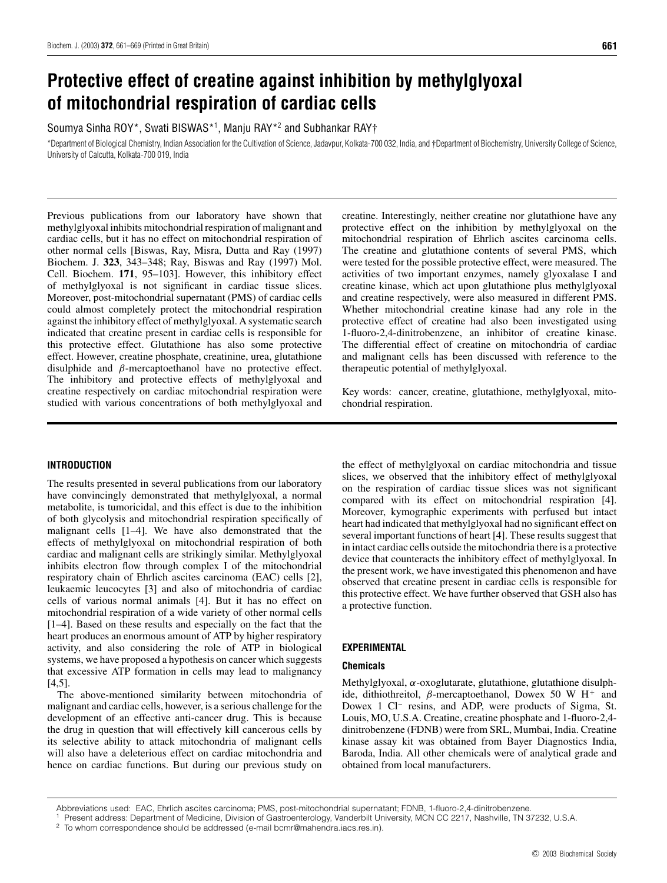# **Protective effect of creatine against inhibition by methylglyoxal of mitochondrial respiration of cardiac cells**

Soumya Sinha ROY\*, Swati BISWAS\*<sup>1</sup> , Manju RAY\*<sup>2</sup> and Subhankar RAY†

\*Department of Biological Chemistry, Indian Association for the Cultivation of Science, Jadavpur, Kolkata-700 032, India, and †Department of Biochemistry, University College of Science, University of Calcutta, Kolkata-700 019, India

Previous publications from our laboratory have shown that methylglyoxal inhibits mitochondrial respiration of malignant and cardiac cells, but it has no effect on mitochondrial respiration of other normal cells [Biswas, Ray, Misra, Dutta and Ray (1997) Biochem. J. **323**, 343–348; Ray, Biswas and Ray (1997) Mol. Cell. Biochem. **171**, 95–103]. However, this inhibitory effect of methylglyoxal is not significant in cardiac tissue slices. Moreover, post-mitochondrial supernatant (PMS) of cardiac cells could almost completely protect the mitochondrial respiration against the inhibitory effect of methylglyoxal. A systematic search indicated that creatine present in cardiac cells is responsible for this protective effect. Glutathione has also some protective effect. However, creatine phosphate, creatinine, urea, glutathione disulphide and *β*-mercaptoethanol have no protective effect. The inhibitory and protective effects of methylglyoxal and creatine respectively on cardiac mitochondrial respiration were studied with various concentrations of both methylglyoxal and

## creatine. Interestingly, neither creatine nor glutathione have any protective effect on the inhibition by methylglyoxal on the mitochondrial respiration of Ehrlich ascites carcinoma cells. The creatine and glutathione contents of several PMS, which were tested for the possible protective effect, were measured. The activities of two important enzymes, namely glyoxalase I and creatine kinase, which act upon glutathione plus methylglyoxal and creatine respectively, were also measured in different PMS. Whether mitochondrial creatine kinase had any role in the protective effect of creatine had also been investigated using 1-fluoro-2,4-dinitrobenzene, an inhibitor of creatine kinase. The differential effect of creatine on mitochondria of cardiac and malignant cells has been discussed with reference to the therapeutic potential of methylglyoxal.

Key words: cancer, creatine, glutathione, methylglyoxal, mitochondrial respiration.

## **INTRODUCTION**

The results presented in several publications from our laboratory have convincingly demonstrated that methylglyoxal, a normal metabolite, is tumoricidal, and this effect is due to the inhibition of both glycolysis and mitochondrial respiration specifically of malignant cells [1–4]. We have also demonstrated that the effects of methylglyoxal on mitochondrial respiration of both cardiac and malignant cells are strikingly similar. Methylglyoxal inhibits electron flow through complex I of the mitochondrial respiratory chain of Ehrlich ascites carcinoma (EAC) cells [2], leukaemic leucocytes [3] and also of mitochondria of cardiac cells of various normal animals [4]. But it has no effect on mitochondrial respiration of a wide variety of other normal cells [1–4]. Based on these results and especially on the fact that the heart produces an enormous amount of ATP by higher respiratory activity, and also considering the role of ATP in biological systems, we have proposed a hypothesis on cancer which suggests that excessive ATP formation in cells may lead to malignancy  $[4,5]$ .

The above-mentioned similarity between mitochondria of malignant and cardiac cells, however, is a serious challenge for the development of an effective anti-cancer drug. This is because the drug in question that will effectively kill cancerous cells by its selective ability to attack mitochondria of malignant cells will also have a deleterious effect on cardiac mitochondria and hence on cardiac functions. But during our previous study on

the effect of methylglyoxal on cardiac mitochondria and tissue slices, we observed that the inhibitory effect of methylglyoxal on the respiration of cardiac tissue slices was not significant compared with its effect on mitochondrial respiration [4]. Moreover, kymographic experiments with perfused but intact heart had indicated that methylglyoxal had no significant effect on several important functions of heart [4]. These results suggest that in intact cardiac cells outside the mitochondria there is a protective device that counteracts the inhibitory effect of methylglyoxal. In the present work, we have investigated this phenomenon and have observed that creatine present in cardiac cells is responsible for this protective effect. We have further observed that GSH also has a protective function.

## **EXPERIMENTAL**

## **Chemicals**

Methylglyoxal, *α*-oxoglutarate, glutathione, glutathione disulphide, dithiothreitol, *β*-mercaptoethanol, Dowex 50 W H<sup>+</sup> and Dowex 1 Cl<sup>−</sup> resins, and ADP, were products of Sigma, St. Louis, MO, U.S.A. Creatine, creatine phosphate and 1-fluoro-2,4 dinitrobenzene (FDNB) were from SRL, Mumbai, India. Creatine kinase assay kit was obtained from Bayer Diagnostics India, Baroda, India. All other chemicals were of analytical grade and obtained from local manufacturers.

<sup>2</sup> To whom correspondence should be addressed (e-mail bcmr@mahendra.iacs.res.in).

Abbreviations used: EAC, Ehrlich ascites carcinoma; PMS, post-mitochondrial supernatant; FDNB, 1-fluoro-2,4-dinitrobenzene.

<sup>1</sup> Present address: Department of Medicine, Division of Gastroenterology, Vanderbilt University, MCN CC 2217, Nashville, TN 37232, U.S.A.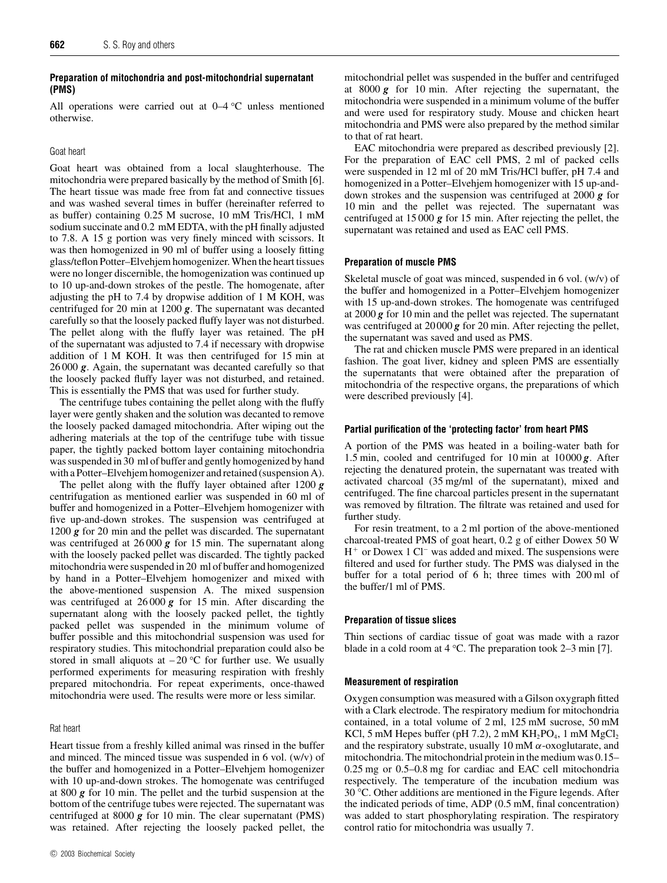## **Preparation of mitochondria and post-mitochondrial supernatant (PMS)**

All operations were carried out at 0–4 *◦*C unless mentioned otherwise.

#### Goat heart

Goat heart was obtained from a local slaughterhouse. The mitochondria were prepared basically by the method of Smith [6]. The heart tissue was made free from fat and connective tissues and was washed several times in buffer (hereinafter referred to as buffer) containing 0.25 M sucrose, 10 mM Tris/HCl, 1 mM sodium succinate and 0.2 mM EDTA, with the pH finally adjusted to 7.8. A 15 g portion was very finely minced with scissors. It was then homogenized in 90 ml of buffer using a loosely fitting glass/teflon Potter–Elvehjem homogenizer. When the heart tissues were no longer discernible, the homogenization was continued up to 10 up-and-down strokes of the pestle. The homogenate, after adjusting the pH to 7.4 by dropwise addition of 1 M KOH, was centrifuged for 20 min at 1200 *g*. The supernatant was decanted carefully so that the loosely packed fluffy layer was not disturbed. The pellet along with the fluffy layer was retained. The pH of the supernatant was adjusted to 7.4 if necessary with dropwise addition of 1 M KOH. It was then centrifuged for 15 min at 26 000 *g*. Again, the supernatant was decanted carefully so that the loosely packed fluffy layer was not disturbed, and retained. This is essentially the PMS that was used for further study.

The centrifuge tubes containing the pellet along with the fluffy layer were gently shaken and the solution was decanted to remove the loosely packed damaged mitochondria. After wiping out the adhering materials at the top of the centrifuge tube with tissue paper, the tightly packed bottom layer containing mitochondria was suspended in 30 ml of buffer and gently homogenized by hand with a Potter–Elvehjem homogenizer and retained (suspension A).

The pellet along with the fluffy layer obtained after 1200 *g* centrifugation as mentioned earlier was suspended in 60 ml of buffer and homogenized in a Potter–Elvehjem homogenizer with five up-and-down strokes. The suspension was centrifuged at 1200 *g* for 20 min and the pellet was discarded. The supernatant was centrifuged at 26 000 *g* for 15 min. The supernatant along with the loosely packed pellet was discarded. The tightly packed mitochondria were suspended in 20 ml of buffer and homogenized by hand in a Potter–Elvehjem homogenizer and mixed with the above-mentioned suspension A. The mixed suspension was centrifuged at 26 000 *g* for 15 min. After discarding the supernatant along with the loosely packed pellet, the tightly packed pellet was suspended in the minimum volume of buffer possible and this mitochondrial suspension was used for respiratory studies. This mitochondrial preparation could also be stored in small aliquots at – 20 *◦*C for further use. We usually performed experiments for measuring respiration with freshly prepared mitochondria. For repeat experiments, once-thawed mitochondria were used. The results were more or less similar.

#### Rat heart

Heart tissue from a freshly killed animal was rinsed in the buffer and minced. The minced tissue was suspended in 6 vol. (w/v) of the buffer and homogenized in a Potter–Elvehjem homogenizer with 10 up-and-down strokes. The homogenate was centrifuged at 800 *g* for 10 min. The pellet and the turbid suspension at the bottom of the centrifuge tubes were rejected. The supernatant was centrifuged at 8000 *g* for 10 min. The clear supernatant (PMS) was retained. After rejecting the loosely packed pellet, the

mitochondrial pellet was suspended in the buffer and centrifuged at 8000 *g* for 10 min. After rejecting the supernatant, the mitochondria were suspended in a minimum volume of the buffer and were used for respiratory study. Mouse and chicken heart mitochondria and PMS were also prepared by the method similar to that of rat heart.

EAC mitochondria were prepared as described previously [2]. For the preparation of EAC cell PMS, 2 ml of packed cells were suspended in 12 ml of 20 mM Tris/HCl buffer, pH 7.4 and homogenized in a Potter–Elvehjem homogenizer with 15 up-anddown strokes and the suspension was centrifuged at 2000 *g* for 10 min and the pellet was rejected. The supernatant was centrifuged at 15 000 *g* for 15 min. After rejecting the pellet, the supernatant was retained and used as EAC cell PMS.

## **Preparation of muscle PMS**

Skeletal muscle of goat was minced, suspended in 6 vol. (w/v) of the buffer and homogenized in a Potter–Elvehjem homogenizer with 15 up-and-down strokes. The homogenate was centrifuged at 2000 *g* for 10 min and the pellet was rejected. The supernatant was centrifuged at 20000 **g** for 20 min. After rejecting the pellet, the supernatant was saved and used as PMS.

The rat and chicken muscle PMS were prepared in an identical fashion. The goat liver, kidney and spleen PMS are essentially the supernatants that were obtained after the preparation of mitochondria of the respective organs, the preparations of which were described previously [4].

#### **Partial purification of the 'protecting factor' from heart PMS**

A portion of the PMS was heated in a boiling-water bath for 1.5 min, cooled and centrifuged for 10 min at 10000 *g*. After rejecting the denatured protein, the supernatant was treated with activated charcoal (35 mg/ml of the supernatant), mixed and centrifuged. The fine charcoal particles present in the supernatant was removed by filtration. The filtrate was retained and used for further study.

For resin treatment, to a 2 ml portion of the above-mentioned charcoal-treated PMS of goat heart, 0.2 g of either Dowex 50 W H<sup>+</sup> or Dowex 1 Cl<sup>−</sup> was added and mixed. The suspensions were filtered and used for further study. The PMS was dialysed in the buffer for a total period of 6 h; three times with 200 ml of the buffer/1 ml of PMS.

#### **Preparation of tissue slices**

Thin sections of cardiac tissue of goat was made with a razor blade in a cold room at 4 *◦*C. The preparation took 2–3 min [7].

#### **Measurement of respiration**

Oxygen consumption was measured with a Gilson oxygraph fitted with a Clark electrode. The respiratory medium for mitochondria contained, in a total volume of 2 ml, 125 mM sucrose, 50 mM KCl, 5 mM Hepes buffer (pH 7.2), 2 mM  $KH_2PO_4$ , 1 mM  $MgCl_2$ and the respiratory substrate, usually 10 mM *α*-oxoglutarate, and mitochondria. The mitochondrial protein in the medium was 0.15– 0.25 mg or 0.5–0.8 mg for cardiac and EAC cell mitochondria respectively. The temperature of the incubation medium was 30 *◦* C. Other additions are mentioned in the Figure legends. After the indicated periods of time, ADP (0.5 mM, final concentration) was added to start phosphorylating respiration. The respiratory control ratio for mitochondria was usually 7.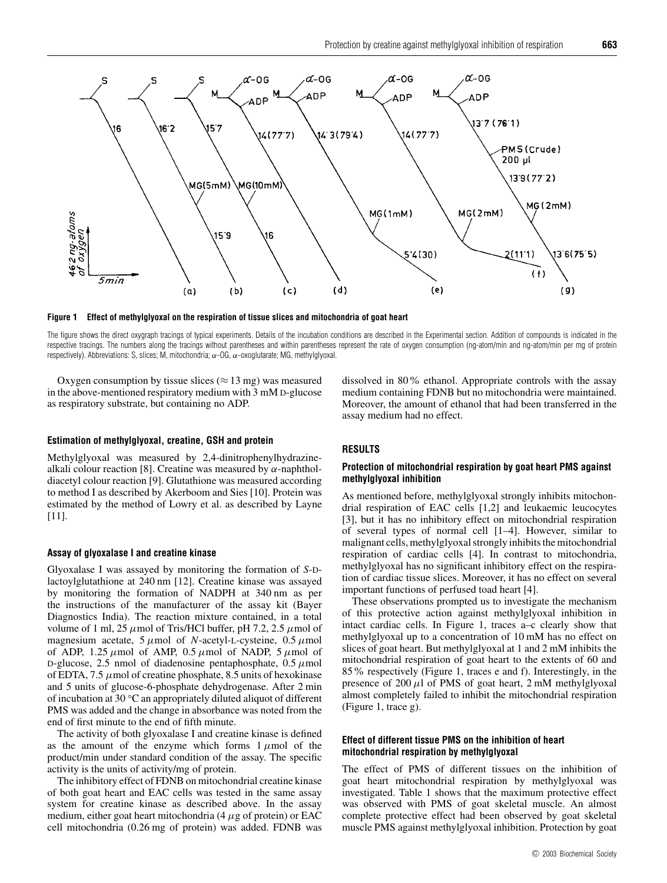

**Figure 1 Effect of methylglyoxal on the respiration of tissue slices and mitochondria of goat heart**

The figure shows the direct oxygraph tracings of typical experiments. Details of the incubation conditions are described in the Experimental section. Addition of compounds is indicated in the respective tracings. The numbers along the tracings without parentheses and within parentheses represent the rate of oxygen consumption (ng-atom/min and ng-atom/min per mg of protein respectively). Abbreviations: S, slices; M, mitochondria;  $α$ -OG,  $α$ -oxoglutarate; MG, methylglyoxal.

Oxygen consumption by tissue slices ( $\approx$  13 mg) was measured in the above-mentioned respiratory medium with 3 mM D-glucose as respiratory substrate, but containing no ADP.

#### **Estimation of methylglyoxal, creatine, GSH and protein**

Methylglyoxal was measured by 2,4-dinitrophenylhydrazinealkali colour reaction [8]. Creatine was measured by *α*-naphtholdiacetyl colour reaction [9]. Glutathione was measured according to method I as described by Akerboom and Sies [10]. Protein was estimated by the method of Lowry et al. as described by Layne [11].

#### **Assay of glyoxalase I and creatine kinase**

Glyoxalase I was assayed by monitoring the formation of *S*-Dlactoylglutathione at 240 nm [12]. Creatine kinase was assayed by monitoring the formation of NADPH at 340 nm as per the instructions of the manufacturer of the assay kit (Bayer Diagnostics India). The reaction mixture contained, in a total volume of 1 ml, 25  $\mu$ mol of Tris/HCl buffer, pH 7.2, 2.5  $\mu$ mol of magnesium acetate, 5 *µ*mol of *N*-acetyl-L-cysteine, 0.5 *µ*mol of ADP, 1.25  $\mu$ mol of AMP, 0.5  $\mu$ mol of NADP, 5  $\mu$ mol of D-glucose, 2.5 nmol of diadenosine pentaphosphate,  $0.5 \mu$ mol of EDTA, 7.5  $\mu$ mol of creatine phosphate, 8.5 units of hexokinase and 5 units of glucose-6-phosphate dehydrogenase. After 2 min of incubation at 30 *◦*C an appropriately diluted aliquot of different PMS was added and the change in absorbance was noted from the end of first minute to the end of fifth minute.

The activity of both glyoxalase I and creatine kinase is defined as the amount of the enzyme which forms  $1 \mu$ mol of the product/min under standard condition of the assay. The specific activity is the units of activity/mg of protein.

The inhibitory effect of FDNB on mitochondrial creatine kinase of both goat heart and EAC cells was tested in the same assay system for creatine kinase as described above. In the assay medium, either goat heart mitochondria (4 *µ*g of protein) or EAC cell mitochondria (0.26 mg of protein) was added. FDNB was dissolved in 80% ethanol. Appropriate controls with the assay medium containing FDNB but no mitochondria were maintained. Moreover, the amount of ethanol that had been transferred in the assay medium had no effect.

## **RESULTS**

## **Protection of mitochondrial respiration by goat heart PMS against methylglyoxal inhibition**

As mentioned before, methylglyoxal strongly inhibits mitochondrial respiration of EAC cells [1,2] and leukaemic leucocytes [3], but it has no inhibitory effect on mitochondrial respiration of several types of normal cell [1–4]. However, similar to malignant cells, methylglyoxal strongly inhibits the mitochondrial respiration of cardiac cells [4]. In contrast to mitochondria, methylglyoxal has no significant inhibitory effect on the respiration of cardiac tissue slices. Moreover, it has no effect on several important functions of perfused toad heart [4].

These observations prompted us to investigate the mechanism of this protective action against methylglyoxal inhibition in intact cardiac cells. In Figure 1, traces a–c clearly show that methylglyoxal up to a concentration of 10 mM has no effect on slices of goat heart. But methylglyoxal at 1 and 2 mM inhibits the mitochondrial respiration of goat heart to the extents of 60 and 85% respectively (Figure 1, traces e and f). Interestingly, in the presence of  $200 \mu l$  of PMS of goat heart,  $2 \text{ mM}$  methylglyoxal almost completely failed to inhibit the mitochondrial respiration (Figure 1, trace g).

## **Effect of different tissue PMS on the inhibition of heart mitochondrial respiration by methylglyoxal**

The effect of PMS of different tissues on the inhibition of goat heart mitochondrial respiration by methylglyoxal was investigated. Table 1 shows that the maximum protective effect was observed with PMS of goat skeletal muscle. An almost complete protective effect had been observed by goat skeletal muscle PMS against methylglyoxal inhibition. Protection by goat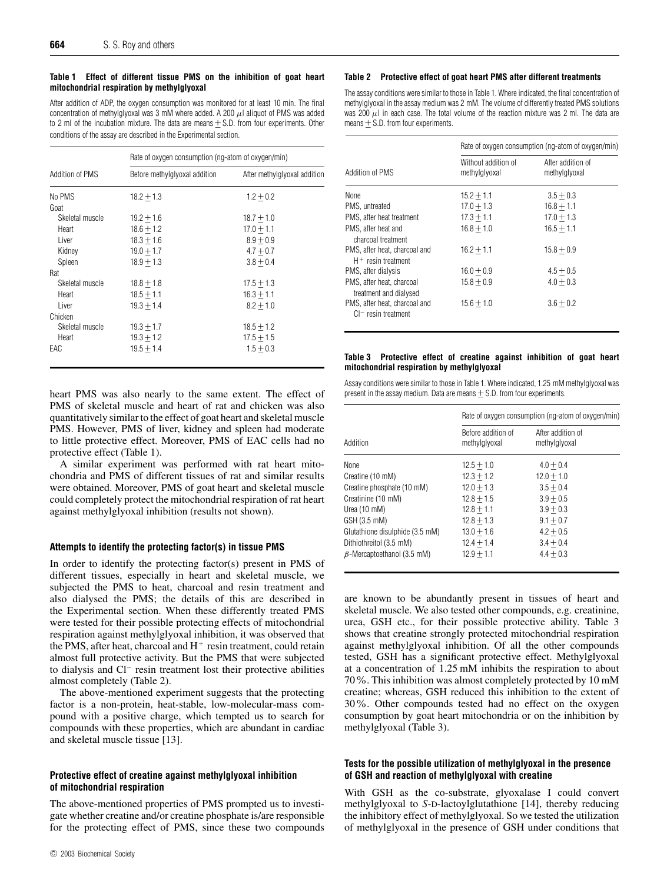#### **Table 1 Effect of different tissue PMS on the inhibition of goat heart mitochondrial respiration by methylglyoxal**

After addition of ADP, the oxygen consumption was monitored for at least 10 min. The final concentration of methylglyoxal was 3 mM where added. A 200  $\mu$ l aliquot of PMS was added to 2 ml of the incubation mixture. The data are means  $\pm$  S.D. from four experiments. Other conditions of the assay are described in the Experimental section.

|                 | Rate of oxygen consumption (ng-atom of oxygen/min) |                              |  |
|-----------------|----------------------------------------------------|------------------------------|--|
| Addition of PMS | Before methylglyoxal addition                      | After methylglyoxal addition |  |
| No PMS          | $18.2 + 1.3$                                       | $1.2 + 0.2$                  |  |
| Goat            |                                                    |                              |  |
| Skeletal muscle | $19.2 + 1.6$                                       | $18.7 + 1.0$                 |  |
| Heart           | $18.6 + 1.2$                                       | $17.0 + 1.1$                 |  |
| Liver           | $18.3 + 1.6$                                       | $8.9 + 0.9$                  |  |
| Kidney          | $19.0 + 1.7$                                       | $4.7 + 0.7$                  |  |
| Spleen          | $18.9 + 1.3$                                       | $3.8 + 0.4$                  |  |
| Rat             |                                                    |                              |  |
| Skeletal muscle | $18.8 + 1.8$                                       | $17.5 + 1.3$                 |  |
| Heart           | $18.5 + 1.1$                                       | $16.3 + 1.1$                 |  |
| Liver           | $19.3 + 1.4$                                       | $8.2 + 1.0$                  |  |
| Chicken         |                                                    |                              |  |
| Skeletal muscle | $19.3 + 1.7$                                       | $18.5 + 1.2$                 |  |
| Heart           | $19.3 + 1.2$                                       | $17.5 + 1.5$                 |  |
| EAC             | $19.5 + 1.4$                                       | $1.5 + 0.3$                  |  |

heart PMS was also nearly to the same extent. The effect of PMS of skeletal muscle and heart of rat and chicken was also quantitatively similar to the effect of goat heart and skeletal muscle PMS. However, PMS of liver, kidney and spleen had moderate to little protective effect. Moreover, PMS of EAC cells had no protective effect (Table 1).

A similar experiment was performed with rat heart mitochondria and PMS of different tissues of rat and similar results were obtained. Moreover, PMS of goat heart and skeletal muscle could completely protect the mitochondrial respiration of rat heart against methylglyoxal inhibition (results not shown).

#### **Attempts to identify the protecting factor(s) in tissue PMS**

In order to identify the protecting factor(s) present in PMS of different tissues, especially in heart and skeletal muscle, we subjected the PMS to heat, charcoal and resin treatment and also dialysed the PMS; the details of this are described in the Experimental section. When these differently treated PMS were tested for their possible protecting effects of mitochondrial respiration against methylglyoxal inhibition, it was observed that the PMS, after heat, charcoal and  $H<sup>+</sup>$  resin treatment, could retain almost full protective activity. But the PMS that were subjected to dialysis and Cl<sup>−</sup> resin treatment lost their protective abilities almost completely (Table 2).

The above-mentioned experiment suggests that the protecting factor is a non-protein, heat-stable, low-molecular-mass compound with a positive charge, which tempted us to search for compounds with these properties, which are abundant in cardiac and skeletal muscle tissue [13].

## **Protective effect of creatine against methylglyoxal inhibition of mitochondrial respiration**

The above-mentioned properties of PMS prompted us to investigate whether creatine and/or creatine phosphate is/are responsible for the protecting effect of PMS, since these two compounds

#### **Table 2 Protective effect of goat heart PMS after different treatments**

The assay conditions were similar to those in Table 1. Where indicated, the final concentration of methylglyoxal in the assay medium was 2 mM. The volume of differently treated PMS solutions was 200  $\mu$ I in each case. The total volume of the reaction mixture was 2 ml. The data are means  $+$  S.D. from four experiments.

|                                                         | Rate of oxygen consumption (ng-atom of oxygen/min) |                                    |  |
|---------------------------------------------------------|----------------------------------------------------|------------------------------------|--|
| Addition of PMS                                         | Without addition of<br>methylglyoxal               | After addition of<br>methylglyoxal |  |
| None                                                    | $15.2 + 1.1$                                       | $3.5 + 0.3$                        |  |
| PMS, untreated                                          | $17.0 + 1.3$                                       | $16.8 + 1.1$                       |  |
| PMS, after heat treatment                               | $17.3 + 1.1$                                       | $17.0 + 1.3$                       |  |
| PMS, after heat and<br>charcoal treatment               | $16.8 + 1.0$                                       | $16.5 + 1.1$                       |  |
| PMS, after heat, charcoal and<br>$H^+$ resin treatment  | $16.2 + 1.1$                                       | $15.8 + 0.9$                       |  |
| PMS, after dialysis                                     | $16.0 + 0.9$                                       | $4.5 + 0.5$                        |  |
| PMS, after heat, charcoal<br>treatment and dialysed     | $15.8 + 0.9$                                       | $4.0 + 0.3$                        |  |
| PMS, after heat, charcoal and<br>$Cl^-$ resin treatment | $15.6 + 1.0$                                       | $3.6 + 0.2$                        |  |

#### **Table 3 Protective effect of creatine against inhibition of goat heart mitochondrial respiration by methylglyoxal**

Assay conditions were similar to those in Table 1. Where indicated, 1.25 mM methylglyoxal was present in the assay medium. Data are means  $+$  S.D. from four experiments.

|                                   | Rate of oxygen consumption (ng-atom of oxygen/min) |                                    |  |
|-----------------------------------|----------------------------------------------------|------------------------------------|--|
| Addition                          | Before addition of<br>methylglyoxal                | After addition of<br>methylglyoxal |  |
| None                              | $12.5 + 1.0$                                       | $4.0 + 0.4$                        |  |
| Creatine (10 mM)                  | $12.3 + 1.2$                                       | $12.0 + 1.0$                       |  |
| Creatine phosphate (10 mM)        | $12.0 + 1.3$                                       | $3.5 + 0.4$                        |  |
| Creatinine (10 mM)                | $12.8 + 1.5$                                       | $3.9 + 0.5$                        |  |
| Urea (10 mM)                      | $12.8 + 1.1$                                       | $3.9 + 0.3$                        |  |
| GSH (3.5 mM)                      | $12.8 + 1.3$                                       | $9.1 + 0.7$                        |  |
| Glutathione disulphide (3.5 mM)   | $13.0 + 1.6$                                       | $4.2 + 0.5$                        |  |
| Dithiothreitol (3.5 mM)           | $12.4 + 1.4$                                       | $3.4 + 0.4$                        |  |
| $\beta$ -Mercaptoethanol (3.5 mM) | $12.9 + 1.1$                                       | $4.4 + 0.3$                        |  |

are known to be abundantly present in tissues of heart and skeletal muscle. We also tested other compounds, e.g. creatinine, urea, GSH etc., for their possible protective ability. Table 3 shows that creatine strongly protected mitochondrial respiration against methylglyoxal inhibition. Of all the other compounds tested, GSH has a significant protective effect. Methylglyoxal at a concentration of 1.25 mM inhibits the respiration to about 70%. This inhibition was almost completely protected by 10 mM creatine; whereas, GSH reduced this inhibition to the extent of 30%. Other compounds tested had no effect on the oxygen consumption by goat heart mitochondria or on the inhibition by methylglyoxal (Table 3).

## **Tests for the possible utilization of methylglyoxal in the presence of GSH and reaction of methylglyoxal with creatine**

With GSH as the co-substrate, glyoxalase I could convert methylglyoxal to *S*-D-lactoylglutathione [14], thereby reducing the inhibitory effect of methylglyoxal. So we tested the utilization of methylglyoxal in the presence of GSH under conditions that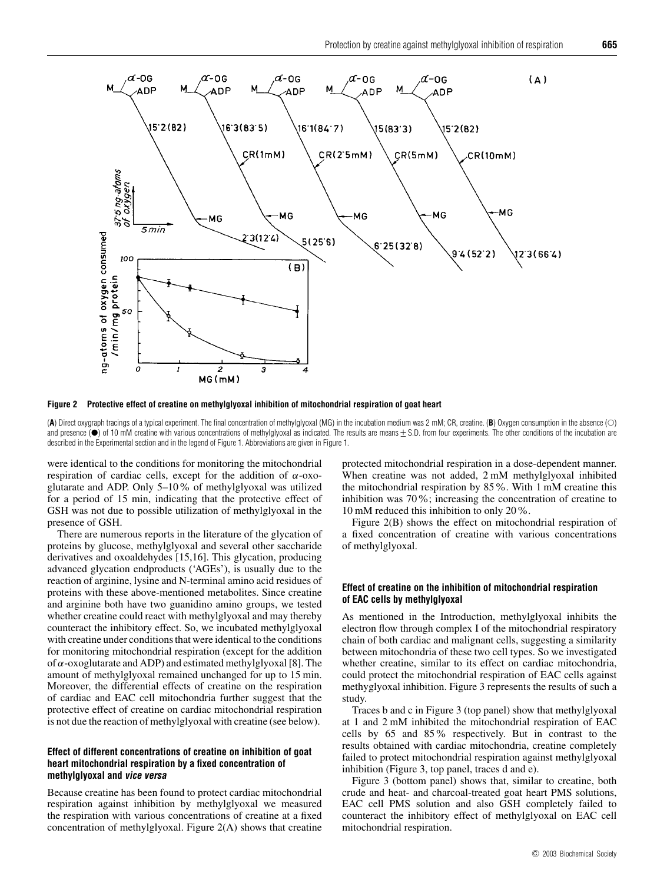

**Figure 2 Protective effect of creatine on methylglyoxal inhibition of mitochondrial respiration of goat heart**

(A) Direct oxygraph tracings of a typical experiment. The final concentration of methylglyoxal (MG) in the incubation medium was 2 mM; CR, creatine. (**B**) Oxygen consumption in the absence (O) and presence (●) of 10 mM creatine with various concentrations of methylglyoxal as indicated. The results are means  $\pm$  S.D. from four experiments. The other conditions of the incubation are<br>described in the Experimental described in the Experimental section and in the legend of Figure 1. Abbreviations are given in Figure 1.

were identical to the conditions for monitoring the mitochondrial respiration of cardiac cells, except for the addition of *α*-oxoglutarate and ADP. Only 5–10% of methylglyoxal was utilized for a period of 15 min, indicating that the protective effect of GSH was not due to possible utilization of methylglyoxal in the presence of GSH.

There are numerous reports in the literature of the glycation of proteins by glucose, methylglyoxal and several other saccharide derivatives and oxoaldehydes [15,16]. This glycation, producing advanced glycation endproducts ('AGEs'), is usually due to the reaction of arginine, lysine and N-terminal amino acid residues of proteins with these above-mentioned metabolites. Since creatine and arginine both have two guanidino amino groups, we tested whether creatine could react with methylglyoxal and may thereby counteract the inhibitory effect. So, we incubated methylglyoxal with creatine under conditions that were identical to the conditions for monitoring mitochondrial respiration (except for the addition of *α*-oxoglutarate and ADP) and estimated methylglyoxal [8]. The amount of methylglyoxal remained unchanged for up to 15 min. Moreover, the differential effects of creatine on the respiration of cardiac and EAC cell mitochondria further suggest that the protective effect of creatine on cardiac mitochondrial respiration is not due the reaction of methylglyoxal with creatine (see below).

## **Effect of different concentrations of creatine on inhibition of goat heart mitochondrial respiration by a fixed concentration of methylglyoxal and vice versa**

Because creatine has been found to protect cardiac mitochondrial respiration against inhibition by methylglyoxal we measured the respiration with various concentrations of creatine at a fixed concentration of methylglyoxal. Figure 2(A) shows that creatine protected mitochondrial respiration in a dose-dependent manner. When creatine was not added, 2 mM methylglyoxal inhibited the mitochondrial respiration by 85%. With 1 mM creatine this inhibition was 70%; increasing the concentration of creatine to 10 mM reduced this inhibition to only 20%.

Figure 2(B) shows the effect on mitochondrial respiration of a fixed concentration of creatine with various concentrations of methylglyoxal.

#### **Effect of creatine on the inhibition of mitochondrial respiration of EAC cells by methylglyoxal**

As mentioned in the Introduction, methylglyoxal inhibits the electron flow through complex I of the mitochondrial respiratory chain of both cardiac and malignant cells, suggesting a similarity between mitochondria of these two cell types. So we investigated whether creatine, similar to its effect on cardiac mitochondria, could protect the mitochondrial respiration of EAC cells against methyglyoxal inhibition. Figure 3 represents the results of such a study.

Traces b and c in Figure 3 (top panel) show that methylglyoxal at 1 and 2 mM inhibited the mitochondrial respiration of EAC cells by 65 and 85% respectively. But in contrast to the results obtained with cardiac mitochondria, creatine completely failed to protect mitochondrial respiration against methylglyoxal inhibition (Figure 3, top panel, traces d and e).

Figure 3 (bottom panel) shows that, similar to creatine, both crude and heat- and charcoal-treated goat heart PMS solutions, EAC cell PMS solution and also GSH completely failed to counteract the inhibitory effect of methylglyoxal on EAC cell mitochondrial respiration.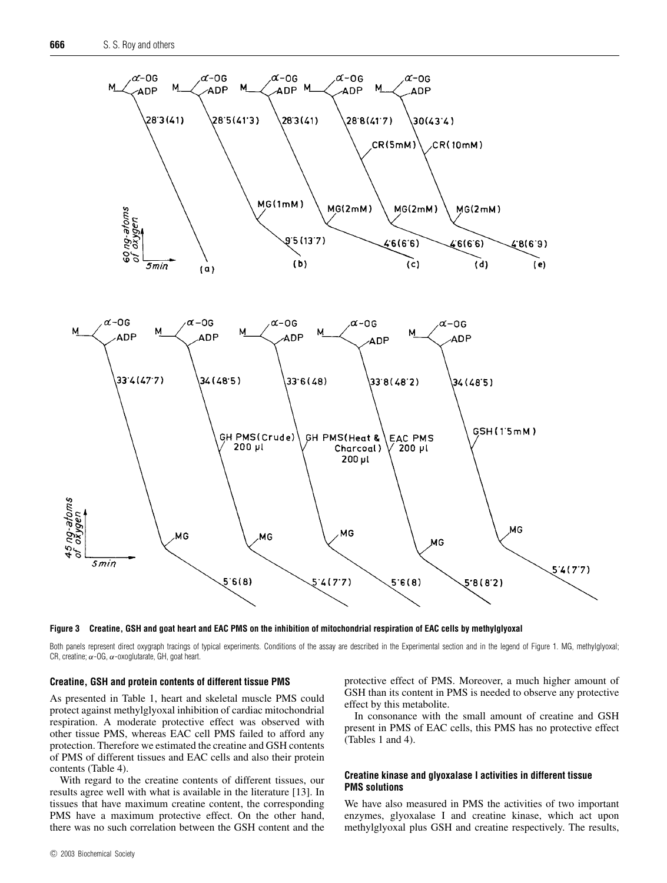



Both panels represent direct oxygraph tracings of typical experiments. Conditions of the assay are described in the Experimental section and in the legend of Figure 1. MG, methylglyoxal; CR, creatine;  $\alpha$ -OG,  $\alpha$ -oxoglutarate, GH, goat heart.

## **Creatine, GSH and protein contents of different tissue PMS**

As presented in Table 1, heart and skeletal muscle PMS could protect against methylglyoxal inhibition of cardiac mitochondrial respiration. A moderate protective effect was observed with other tissue PMS, whereas EAC cell PMS failed to afford any protection. Therefore we estimated the creatine and GSH contents of PMS of different tissues and EAC cells and also their protein contents (Table 4).

With regard to the creatine contents of different tissues, our results agree well with what is available in the literature [13]. In tissues that have maximum creatine content, the corresponding PMS have a maximum protective effect. On the other hand, there was no such correlation between the GSH content and the

protective effect of PMS. Moreover, a much higher amount of GSH than its content in PMS is needed to observe any protective effect by this metabolite.

In consonance with the small amount of creatine and GSH present in PMS of EAC cells, this PMS has no protective effect (Tables 1 and 4).

## **Creatine kinase and glyoxalase I activities in different tissue PMS solutions**

We have also measured in PMS the activities of two important enzymes, glyoxalase I and creatine kinase, which act upon methylglyoxal plus GSH and creatine respectively. The results,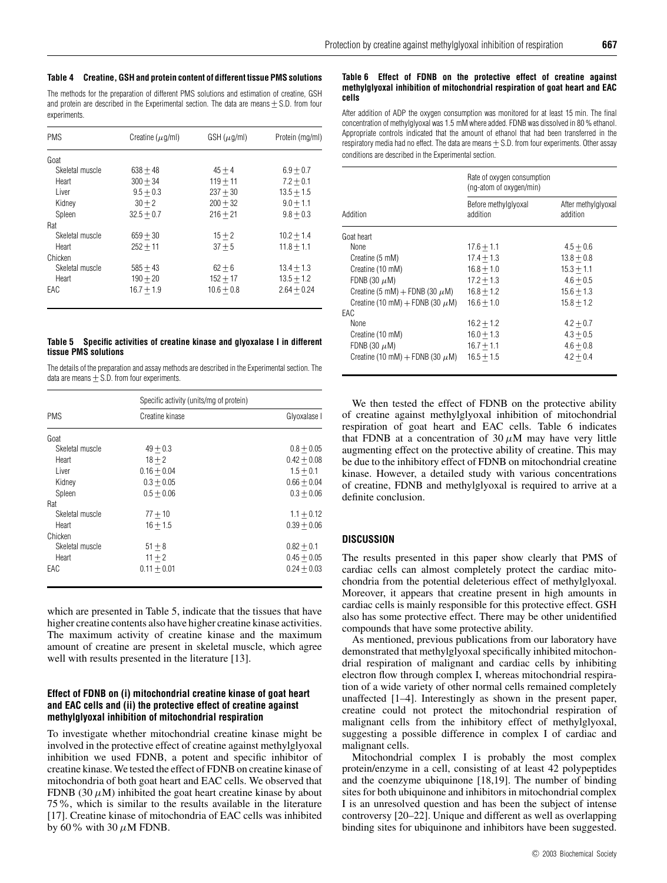The methods for the preparation of different PMS solutions and estimation of creatine, GSH and protein are described in the Experimental section. The data are means  $+ S.D.$  from four experiments.

| <b>PMS</b>      | Creatine ( $\mu$ q/ml) | $GSH(\mu g/ml)$ | Protein (mg/ml) |
|-----------------|------------------------|-----------------|-----------------|
| Goat            |                        |                 |                 |
| Skeletal muscle | $638 + 48$             | $45 + 4$        | $6.9 + 0.7$     |
| Heart           | $300 + 34$             | $119 + 11$      | $7.2 + 0.1$     |
| Liver           | $9.5 + 0.3$            | $237 + 30$      | $13.5 + 1.5$    |
| Kidney          | $30 + 2$               | $200 + 32$      | $9.0 + 1.1$     |
| Spleen          | $32.5 + 0.7$           | $216 + 21$      | $9.8 + 0.3$     |
| Rat             |                        |                 |                 |
| Skeletal muscle | $659 + 30$             | $15 + 2$        | $10.2 + 1.4$    |
| Heart           | $252 + 11$             | $37 + 5$        | $11.8 + 1.1$    |
| Chicken         |                        |                 |                 |
| Skeletal muscle | $585 + 43$             | $62 + 6$        | $13.4 + 1.3$    |
| Heart           | $190 + 20$             | $152 + 17$      | $13.5 + 1.2$    |
| EAC             | $16.7 + 1.9$           | $10.6 + 0.8$    | $2.64 + 0.24$   |

#### **Table 5 Specific activities of creatine kinase and glyoxalase I in different tissue PMS solutions**

The details of the preparation and assay methods are described in the Experimental section. The data are means  $+$  S.D. from four experiments.

|                 | Specific activity (units/mg of protein) |               |  |
|-----------------|-----------------------------------------|---------------|--|
| <b>PMS</b>      | Creatine kinase                         | Glyoxalase I  |  |
| Goat            |                                         |               |  |
| Skeletal muscle | $49 + 0.3$                              | $0.8 + 0.05$  |  |
| Heart           | $18 + 2$                                | $0.42 + 0.08$ |  |
| Liver           | $0.16 + 0.04$                           | $1.5 + 0.1$   |  |
| Kidney          | $0.3 + 0.05$                            | $0.66 + 0.04$ |  |
| Spleen          | $0.5 + 0.06$                            | $0.3 + 0.06$  |  |
| Rat             |                                         |               |  |
| Skeletal muscle | $77 + 10$                               | $1.1 + 0.12$  |  |
| Heart           | $16 + 1.5$                              | $0.39 + 0.06$ |  |
| Chicken         |                                         |               |  |
| Skeletal muscle | $51 + 8$                                | $0.82 + 0.1$  |  |
| Heart           | $11 + 2$                                | $0.45 + 0.05$ |  |
| EAC             | $0.11 + 0.01$                           | $0.24 + 0.03$ |  |

which are presented in Table 5, indicate that the tissues that have higher creatine contents also have higher creatine kinase activities. The maximum activity of creatine kinase and the maximum amount of creatine are present in skeletal muscle, which agree well with results presented in the literature [13].

## **Effect of FDNB on (i) mitochondrial creatine kinase of goat heart and EAC cells and (ii) the protective effect of creatine against methylglyoxal inhibition of mitochondrial respiration**

To investigate whether mitochondrial creatine kinase might be involved in the protective effect of creatine against methylglyoxal inhibition we used FDNB, a potent and specific inhibitor of creatine kinase. We tested the effect of FDNB on creatine kinase of mitochondria of both goat heart and EAC cells. We observed that FDNB (30  $\mu$ M) inhibited the goat heart creatine kinase by about 75%, which is similar to the results available in the literature [17]. Creatine kinase of mitochondria of EAC cells was inhibited by 60% with 30  $\mu$ M FDNB.

#### **Table 6 Effect of FDNB on the protective effect of creatine against methylglyoxal inhibition of mitochondrial respiration of goat heart and EAC cells**

After addition of ADP the oxygen consumption was monitored for at least 15 min. The final concentration of methylglyoxal was 1.5 mM where added. FDNB was dissolved in 80 % ethanol. Appropriate controls indicated that the amount of ethanol that had been transferred in the respiratory media had no effect. The data are means  $\pm$  S.D. from four experiments. Other assay conditions are described in the Experimental section.

|                                      | Rate of oxygen consumption<br>(ng-atom of oxygen/min) |                                 |
|--------------------------------------|-------------------------------------------------------|---------------------------------|
| Addition                             | Before methylglyoxal<br>addition                      | After methylglyoxal<br>addition |
| Goat heart                           |                                                       |                                 |
| None                                 | $17.6 + 1.1$                                          | $4.5 + 0.6$                     |
| Creatine (5 mM)                      | $17.4 + 1.3$                                          | $13.8 + 0.8$                    |
| Creatine (10 mM)                     | $16.8 + 1.0$                                          | $15.3 + 1.1$                    |
| FDNB (30 $\mu$ M)                    | $17.2 + 1.3$                                          | $4.6 + 0.5$                     |
| Creatine (5 mM) + FDNB (30 $\mu$ M)  | $16.8 + 1.2$                                          | $15.6 + 1.3$                    |
| Creatine (10 mM) + FDNB (30 $\mu$ M) | $16.6 + 1.0$                                          | $15.8 + 1.2$                    |
| EAC                                  |                                                       |                                 |
| <b>None</b>                          | $16.2 + 1.2$                                          | $4.2 + 0.7$                     |
| Creatine (10 mM)                     | $16.0 + 1.3$                                          | $4.3 + 0.5$                     |
| FDNB (30 $\mu$ M)                    | $16.7 + 1.1$                                          | $4.6 + 0.8$                     |
| Creatine (10 mM) + FDNB (30 $\mu$ M) | $16.5 + 1.5$                                          | $4.2 + 0.4$                     |

We then tested the effect of FDNB on the protective ability of creatine against methylglyoxal inhibition of mitochondrial respiration of goat heart and EAC cells. Table 6 indicates that FDNB at a concentration of  $30 \mu$ M may have very little augmenting effect on the protective ability of creatine. This may be due to the inhibitory effect of FDNB on mitochondrial creatine kinase. However, a detailed study with various concentrations of creatine, FDNB and methylglyoxal is required to arrive at a definite conclusion.

## **DISCUSSION**

The results presented in this paper show clearly that PMS of cardiac cells can almost completely protect the cardiac mitochondria from the potential deleterious effect of methylglyoxal. Moreover, it appears that creatine present in high amounts in cardiac cells is mainly responsible for this protective effect. GSH also has some protective effect. There may be other unidentified compounds that have some protective ability.

As mentioned, previous publications from our laboratory have demonstrated that methylglyoxal specifically inhibited mitochondrial respiration of malignant and cardiac cells by inhibiting electron flow through complex I, whereas mitochondrial respiration of a wide variety of other normal cells remained completely unaffected [1–4]. Interestingly as shown in the present paper, creatine could not protect the mitochondrial respiration of malignant cells from the inhibitory effect of methylglyoxal, suggesting a possible difference in complex I of cardiac and malignant cells.

Mitochondrial complex I is probably the most complex protein/enzyme in a cell, consisting of at least 42 polypeptides and the coenzyme ubiquinone [18,19]. The number of binding sites for both ubiquinone and inhibitors in mitochondrial complex I is an unresolved question and has been the subject of intense controversy [20–22]. Unique and different as well as overlapping binding sites for ubiquinone and inhibitors have been suggested.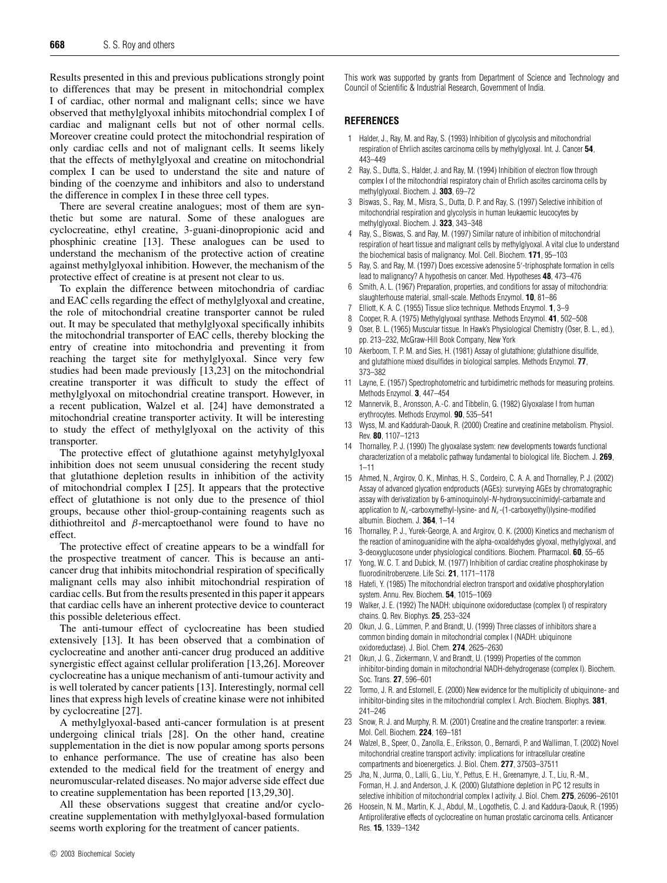Results presented in this and previous publications strongly point to differences that may be present in mitochondrial complex I of cardiac, other normal and malignant cells; since we have observed that methylglyoxal inhibits mitochondrial complex I of cardiac and malignant cells but not of other normal cells. Moreover creatine could protect the mitochondrial respiration of only cardiac cells and not of malignant cells. It seems likely that the effects of methylglyoxal and creatine on mitochondrial complex I can be used to understand the site and nature of binding of the coenzyme and inhibitors and also to understand the difference in complex I in these three cell types.

There are several creatine analogues; most of them are synthetic but some are natural. Some of these analogues are cyclocreatine, ethyl creatine, 3-guani-dinopropionic acid and phosphinic creatine [13]. These analogues can be used to understand the mechanism of the protective action of creatine against methylglyoxal inhibition. However, the mechanism of the protective effect of creatine is at present not clear to us.

To explain the difference between mitochondria of cardiac and EAC cells regarding the effect of methylglyoxal and creatine, the role of mitochondrial creatine transporter cannot be ruled out. It may be speculated that methylglyoxal specifically inhibits the mitochondrial transporter of EAC cells, thereby blocking the entry of creatine into mitochondria and preventing it from reaching the target site for methylglyoxal. Since very few studies had been made previously [13,23] on the mitochondrial creatine transporter it was difficult to study the effect of methylglyoxal on mitochondrial creatine transport. However, in a recent publication, Walzel et al. [24] have demonstrated a mitochondrial creatine transporter activity. It will be interesting to study the effect of methylglyoxal on the activity of this transporter.

The protective effect of glutathione against metyhylglyoxal inhibition does not seem unusual considering the recent study that glutathione depletion results in inhibition of the activity of mitochondrial complex I [25]. It appears that the protective effect of glutathione is not only due to the presence of thiol groups, because other thiol-group-containing reagents such as dithiothreitol and *β*-mercaptoethanol were found to have no effect.

The protective effect of creatine appears to be a windfall for the prospective treatment of cancer. This is because an anticancer drug that inhibits mitochondrial respiration of specifically malignant cells may also inhibit mitochondrial respiration of cardiac cells. But from the results presented in this paper it appears that cardiac cells have an inherent protective device to counteract this possible deleterious effect.

The anti-tumour effect of cyclocreatine has been studied extensively [13]. It has been observed that a combination of cyclocreatine and another anti-cancer drug produced an additive synergistic effect against cellular proliferation [13,26]. Moreover cyclocreatine has a unique mechanism of anti-tumour activity and is well tolerated by cancer patients [13]. Interestingly, normal cell lines that express high levels of creatine kinase were not inhibited by cyclocreatine [27].

A methylglyoxal-based anti-cancer formulation is at present undergoing clinical trials [28]. On the other hand, creatine supplementation in the diet is now popular among sports persons to enhance performance. The use of creatine has also been extended to the medical field for the treatment of energy and neuromuscular-related diseases. No major adverse side effect due to creatine supplementation has been reported [13,29,30].

All these observations suggest that creatine and/or cyclocreatine supplementation with methylglyoxal-based formulation seems worth exploring for the treatment of cancer patients.

This work was supported by grants from Department of Science and Technology and Council of Scientific & Industrial Research, Government of India.

## **REFERENCES**

- 1 Halder, J., Ray, M. and Ray, S. (1993) Inhibition of glycolysis and mitochondrial respiration of Ehrlich ascites carcinoma cells by methylglyoxal. Int. J. Cancer **54**, 443–449
- 2 Ray, S., Dutta, S., Halder, J. and Ray, M. (1994) Inhibition of electron flow through complex I of the mitochondrial respiratory chain of Ehrlich ascites carcinoma cells by methylglyoxal. Biochem. J. **303**, 69–72
- 3 Biswas, S., Ray, M., Misra, S., Dutta, D. P. and Ray, S. (1997) Selective inhibition of mitochondrial respiration and glycolysis in human leukaemic leucocytes by methylglyoxal. Biochem. J. **323**, 343–348
- 4 Ray, S., Biswas, S. and Ray, M. (1997) Similar nature of inhibition of mitochondrial respiration of heart tissue and malignant cells by methylglyoxal. A vital clue to understand the biochemical basis of malignancy. Mol. Cell. Biochem. **171**, 95–103
- 5 Ray, S. and Ray, M. (1997) Does excessive adenosine 5 -triphosphate formation in cells lead to malignancy? A hypothesis on cancer. Med. Hypotheses **48**, 473–476
- 6 Smith, A. L. (1967) Preparation, properties, and conditions for assay of mitochondria: slaughterhouse material, small-scale. Methods Enzymol. **10**, 81–86
- 7 Elliott, K. A. C. (1955) Tissue slice technique. Methods Enzymol. **1**, 3–9
- 8 Cooper, R. A. (1975) Methylglyoxal synthase. Methods Enzymol. **41**, 502–508
- 9 Oser, B. L. (1965) Muscular tissue. In Hawk's Physiological Chemistry (Oser, B. L., ed.), pp. 213–232, McGraw-Hill Book Company, New York
- 10 Akerboom, T. P. M. and Sies, H. (1981) Assay of glutathione; glutathione disulfide, and glutathione mixed disulfides in biological samples. Methods Enzymol. **77**, 373–382
- 11 Layne, E. (1957) Spectrophotometric and turbidimetric methods for measuring proteins. Methods Enzymol. **3**, 447–454
- 12 Mannervik, B., Aronsson, A.-C. and Tibbelin, G. (1982) Glyoxalase I from human erythrocytes. Methods Enzymol. **90**, 535–541
- 13 Wyss, M. and Kaddurah-Daouk, R. (2000) Creatine and creatinine metabolism. Physiol. Rev. **80**, 1107–1213
- 14 Thornalley, P. J. (1990) The glyoxalase system: new developments towards functional characterization of a metabolic pathway fundamental to biological life. Biochem. J. **269**, 1–11
- 15 Ahmed, N., Argirov, O. K., Minhas, H. S., Cordeiro, C. A. A. and Thornalley, P. J. (2002) Assay of advanced glycation endproducts (AGEs): surveying AGEs by chromatographic assay with derivatization by 6-aminoquinolyl-N-hydroxysuccinimidyl-carbamate and application to  $N_e$ -carboxymethyl-lysine- and  $N_e$ -(1-carboxyethyl)lysine-modified albumin. Biochem. J. **364**, 1–14
- 16 Thornalley, P. J., Yurek-George, A. and Argirov, O. K. (2000) Kinetics and mechanism of the reaction of aminoguanidine with the alpha-oxoaldehydes glyoxal, methylglyoxal, and 3-deoxyglucosone under physiological conditions. Biochem. Pharmacol. **60**, 55–65
- 17 Yong, W. C. T. and Dubick, M. (1977) Inhibition of cardiac creatine phosphokinase by fluorodinitrobenzene. Life Sci. **21**, 1171–1178
- 18 Hatefi, Y. (1985) The mitochondrial electron transport and oxidative phosphorylation system. Annu. Rev. Biochem. **54**, 1015–1069
- 19 Walker, J. E. (1992) The NADH: ubiquinone oxidoreductase (complex I) of respiratory chains. Q. Rev. Biophys. **25**, 253–324
- 20 Okun, J. G., Lümmen, P. and Brandt, U. (1999) Three classes of inhibitors share a common binding domain in mitochondrial complex I (NADH: ubiquinone oxidoreductase). J. Biol. Chem. **274**, 2625–2630
- 21 Okun, J. G., Zickermann, V. and Brandt, U. (1999) Properties of the common inhibitor-binding domain in mitochondrial NADH-dehydrogenase (complex I). Biochem. Soc. Trans. **27**, 596–601
- 22 Tormo, J. R. and Estornell, E. (2000) New evidence for the multiplicity of ubiquinone- and inhibitor-binding sites in the mitochondrial complex I. Arch. Biochem. Biophys. **381**, 241–246
- 23 Snow, R. J. and Murphy, R. M. (2001) Creatine and the creatine transporter: a review. Mol. Cell. Biochem. **224**, 169–181
- 24 Walzel, B., Speer, O., Zanolla, E., Eriksson, O., Bernardi, P. and Walliman, T. (2002) Novel mitochondrial creatine transport activity: implications for intracellular creatine compartments and bioenergetics. J. Biol. Chem. **277**, 37503–37511
- 25 Jha, N., Jurma, O., Lalli, G., Liu, Y., Pettus, E. H., Greenamyre, J. T., Liu, R.-M., Forman, H. J. and Anderson, J. K. (2000) Glutathione depletion in PC 12 results in selective inhibition of mitochondrial complex I activity. J. Biol. Chem. **275**, 26096–26101
- 26 Hoosein, N. M., Martin, K. J., Abdul, M., Logothetis, C. J. and Kaddura-Daouk, R. (1995) Antiproliferative effects of cyclocreatine on human prostatic carcinoma cells. Anticancer Res. **15**, 1339–1342